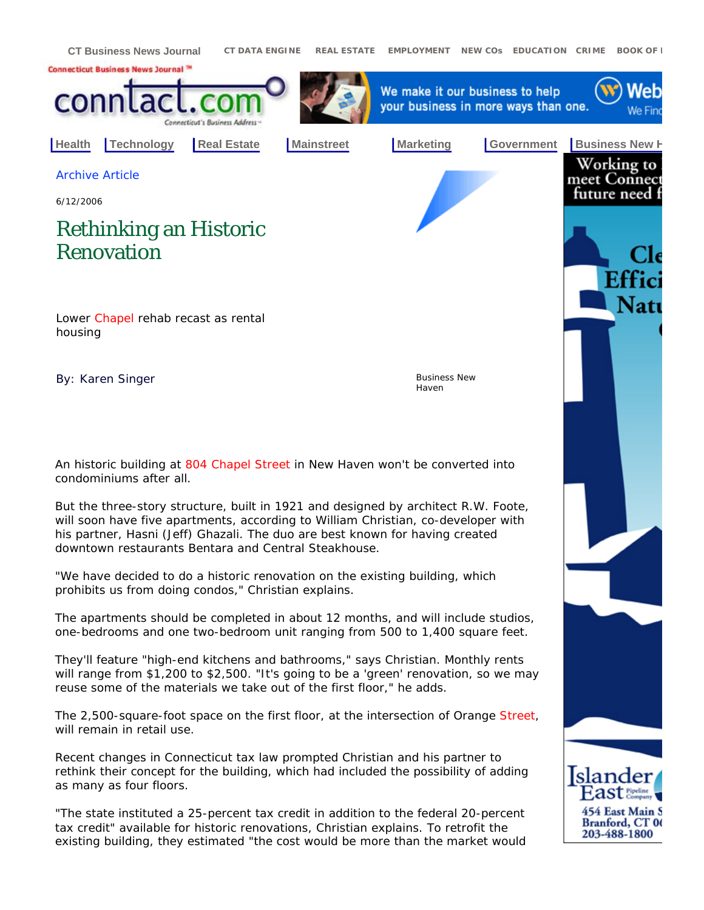